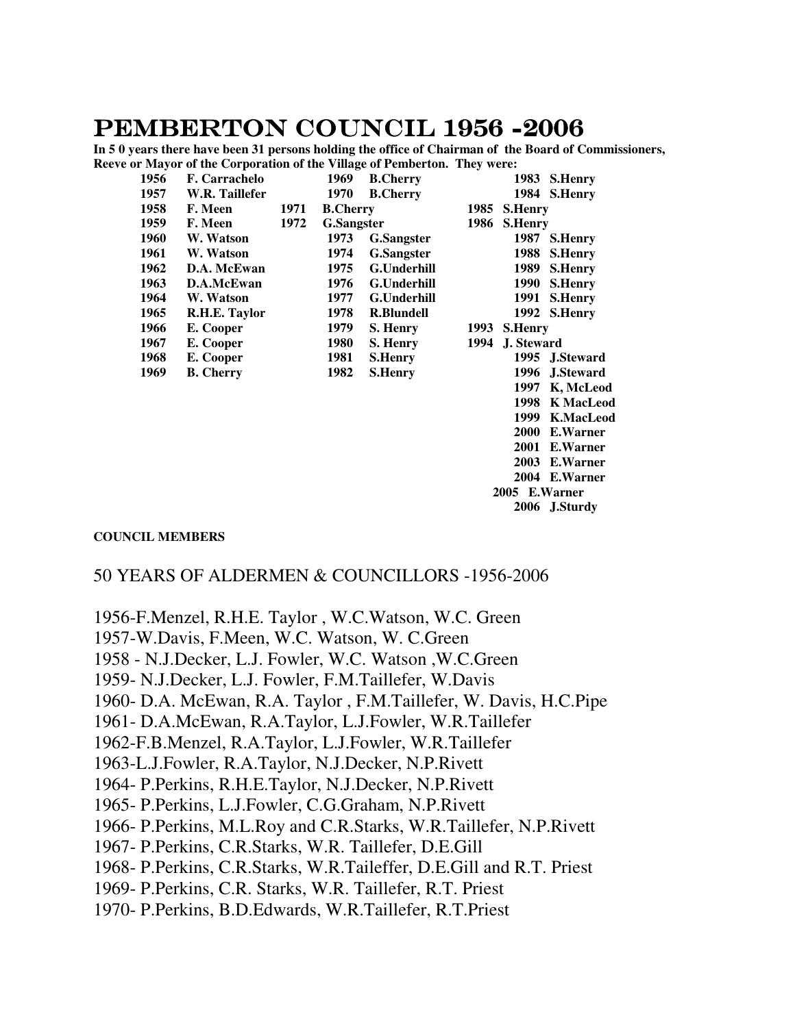# PEMBERTON COUNCIL 1956 -2006

**In 5 0 years there have been 31 persons holding the office of Chairman of the Board of Commissioners, Reeve or Mayor of the Corporation of the Village of Pemberton. They were:**

| Recyclof hayor of the corporation of the vinage of Femocranic They were: |      |                      |      |                   |                    |      |                          |
|--------------------------------------------------------------------------|------|----------------------|------|-------------------|--------------------|------|--------------------------|
|                                                                          | 1956 | <b>F.</b> Carrachelo |      | 1969              | <b>B.Cherry</b>    |      | 1983<br><b>S.Henry</b>   |
|                                                                          | 1957 | W.R. Taillefer       |      | 1970              | <b>B.Cherry</b>    |      | 1984 S.Henry             |
|                                                                          | 1958 | F. Meen              | 1971 | <b>B.Cherry</b>   |                    |      | 1985 S.Henry             |
|                                                                          | 1959 | F. Meen              | 1972 | <b>G.Sangster</b> |                    | 1986 | <b>S.Henry</b>           |
|                                                                          | 1960 | W. Watson            |      | 1973              | <b>G.Sangster</b>  |      | 1987 S.Henry             |
|                                                                          | 1961 | W. Watson            |      | 1974              | <b>G.Sangster</b>  |      | 1988<br><b>S.Henry</b>   |
|                                                                          | 1962 | D.A. McEwan          |      | 1975              | <b>G.Underhill</b> |      | 1989<br><b>S.Henry</b>   |
|                                                                          | 1963 | D.A.McEwan           |      | 1976              | <b>G.Underhill</b> |      | 1990<br><b>S.Henry</b>   |
|                                                                          | 1964 | W. Watson            |      | 1977              | <b>G.Underhill</b> |      | 1991<br><b>S.Henry</b>   |
|                                                                          | 1965 | R.H.E. Taylor        |      | 1978              | <b>R.Blundell</b>  |      | 1992 S.Henry             |
|                                                                          | 1966 | E. Cooper            |      | 1979              | S. Henry           | 1993 | <b>S.Henry</b>           |
|                                                                          | 1967 | E. Cooper            |      | 1980              | S. Henry           | 1994 | J. Steward               |
|                                                                          | 1968 | E. Cooper            |      | 1981              | <b>S.Henry</b>     |      | 1995 J.Steward           |
|                                                                          | 1969 | <b>B.</b> Cherry     |      | 1982              | <b>S.Henry</b>     |      | 1996 J.Steward           |
|                                                                          |      |                      |      |                   |                    |      | 1997<br>K, McLeod        |
|                                                                          |      |                      |      |                   |                    |      | 1998<br>K MacLeod        |
|                                                                          |      |                      |      |                   |                    |      | 1999<br><b>K.MacLeod</b> |
|                                                                          |      |                      |      |                   |                    |      | E.Warner<br><b>2000</b>  |
|                                                                          |      |                      |      |                   |                    |      | 2001 E.Warner            |

 **2003 E.Warner 2004 E.Warner 2005 E.Warner** 

 **2006 J.Sturdy** 

#### **COUNCIL MEMBERS**

### 50 YEARS OF ALDERMEN & COUNCILLORS -1956-2006

1956-F.Menzel, R.H.E. Taylor , W.C.Watson, W.C. Green 1957-W.Davis, F.Meen, W.C. Watson, W. C.Green 1958 - N.J.Decker, L.J. Fowler, W.C. Watson ,W.C.Green 1959- N.J.Decker, L.J. Fowler, F.M.Taillefer, W.Davis 1960- D.A. McEwan, R.A. Taylor , F.M.Taillefer, W. Davis, H.C.Pipe 1961- D.A.McEwan, R.A.Taylor, L.J.Fowler, W.R.Taillefer 1962-F.B.Menzel, R.A.Taylor, L.J.Fowler, W.R.Taillefer 1963-L.J.Fowler, R.A.Taylor, N.J.Decker, N.P.Rivett 1964- P.Perkins, R.H.E.Taylor, N.J.Decker, N.P.Rivett 1965- P.Perkins, L.J.Fowler, C.G.Graham, N.P.Rivett 1966- P.Perkins, M.L.Roy and C.R.Starks, W.R.Taillefer, N.P.Rivett 1967- P.Perkins, C.R.Starks, W.R. Taillefer, D.E.Gill 1968- P.Perkins, C.R.Starks, W.R.Taileffer, D.E.Gill and R.T. Priest 1969- P.Perkins, C.R. Starks, W.R. Taillefer, R.T. Priest 1970- P.Perkins, B.D.Edwards, W.R.Taillefer, R.T.Priest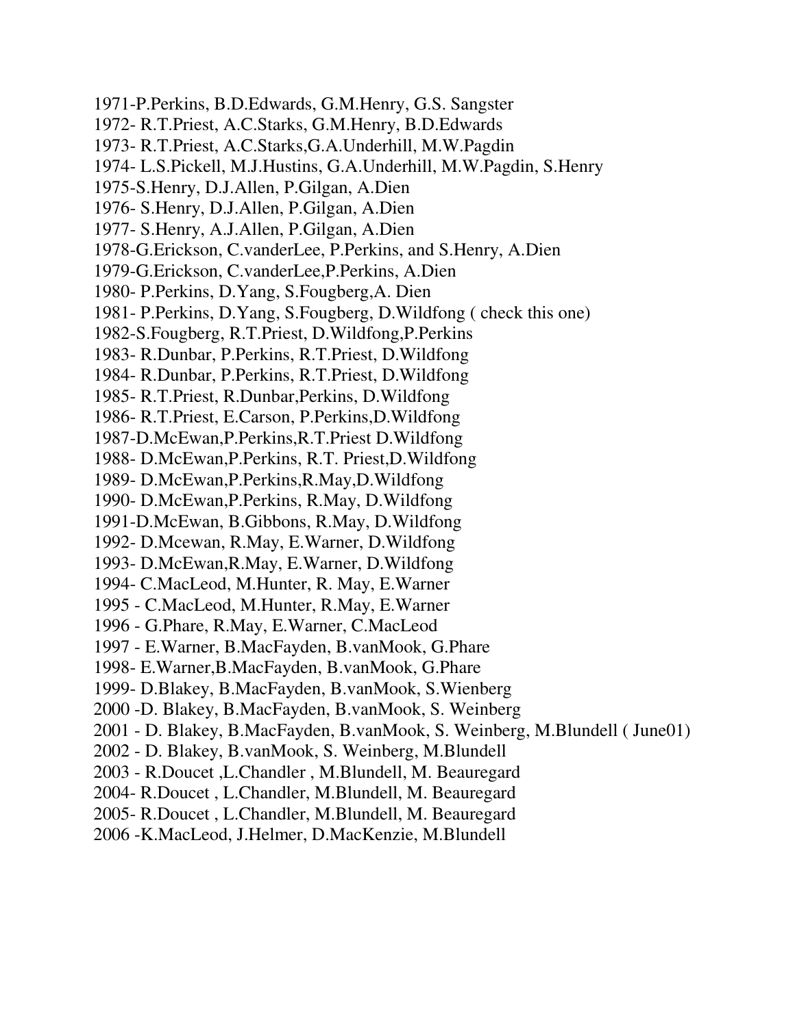1971-P.Perkins, B.D.Edwards, G.M.Henry, G.S. Sangster 1972- R.T.Priest, A.C.Starks, G.M.Henry, B.D.Edwards 1973- R.T.Priest, A.C.Starks,G.A.Underhill, M.W.Pagdin 1974- L.S.Pickell, M.J.Hustins, G.A.Underhill, M.W.Pagdin, S.Henry 1975-S.Henry, D.J.Allen, P.Gilgan, A.Dien 1976- S.Henry, D.J.Allen, P.Gilgan, A.Dien 1977- S.Henry, A.J.Allen, P.Gilgan, A.Dien 1978-G.Erickson, C.vanderLee, P.Perkins, and S.Henry, A.Dien 1979-G.Erickson, C.vanderLee,P.Perkins, A.Dien 1980- P.Perkins, D.Yang, S.Fougberg,A. Dien 1981- P.Perkins, D.Yang, S.Fougberg, D.Wildfong ( check this one) 1982-S.Fougberg, R.T.Priest, D.Wildfong,P.Perkins 1983- R.Dunbar, P.Perkins, R.T.Priest, D.Wildfong 1984- R.Dunbar, P.Perkins, R.T.Priest, D.Wildfong 1985- R.T.Priest, R.Dunbar,Perkins, D.Wildfong 1986- R.T.Priest, E.Carson, P.Perkins,D.Wildfong 1987-D.McEwan,P.Perkins,R.T.Priest D.Wildfong 1988- D.McEwan,P.Perkins, R.T. Priest,D.Wildfong 1989- D.McEwan,P.Perkins,R.May,D.Wildfong 1990- D.McEwan,P.Perkins, R.May, D.Wildfong 1991-D.McEwan, B.Gibbons, R.May, D.Wildfong 1992- D.Mcewan, R.May, E.Warner, D.Wildfong 1993- D.McEwan,R.May, E.Warner, D.Wildfong 1994- C.MacLeod, M.Hunter, R. May, E.Warner 1995 - C.MacLeod, M.Hunter, R.May, E.Warner 1996 - G.Phare, R.May, E.Warner, C.MacLeod 1997 - E.Warner, B.MacFayden, B.vanMook, G.Phare 1998- E.Warner,B.MacFayden, B.vanMook, G.Phare 1999- D.Blakey, B.MacFayden, B.vanMook, S.Wienberg 2000 -D. Blakey, B.MacFayden, B.vanMook, S. Weinberg 2001 - D. Blakey, B.MacFayden, B.vanMook, S. Weinberg, M.Blundell ( June01) 2002 - D. Blakey, B.vanMook, S. Weinberg, M.Blundell 2003 - R.Doucet ,L.Chandler , M.Blundell, M. Beauregard 2004- R.Doucet , L.Chandler, M.Blundell, M. Beauregard 2005- R.Doucet , L.Chandler, M.Blundell, M. Beauregard 2006 -K.MacLeod, J.Helmer, D.MacKenzie, M.Blundell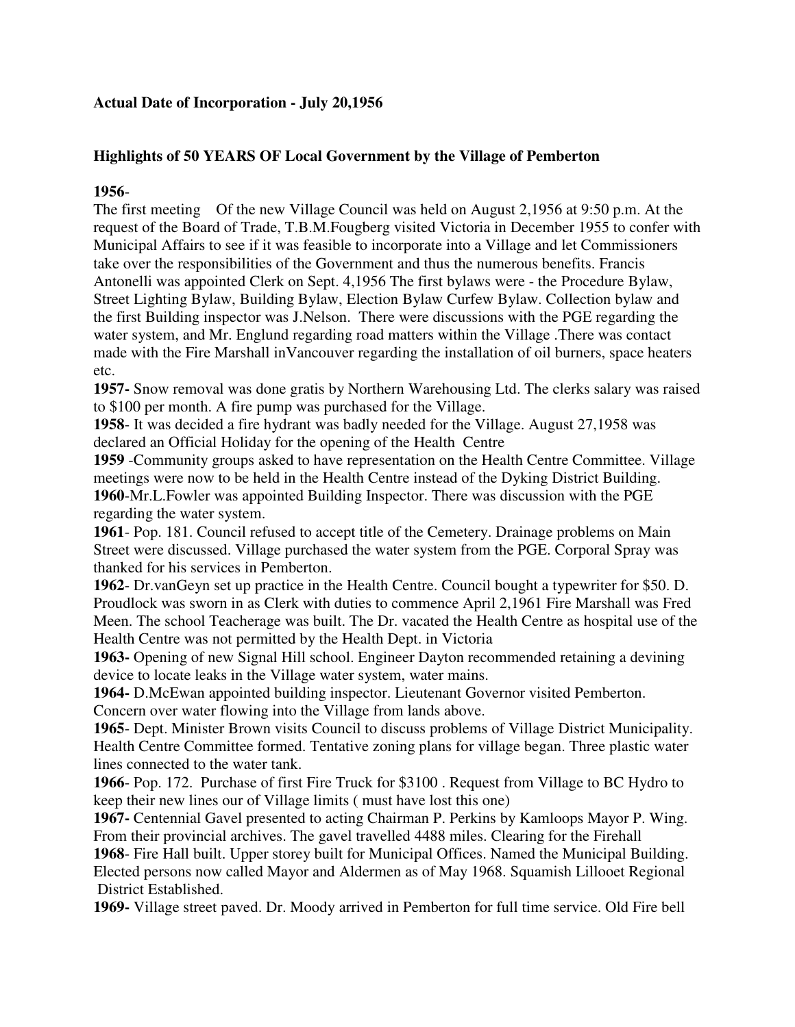## **Actual Date of Incorporation - July 20,1956**

## **Highlights of 50 YEARS OF Local Government by the Village of Pemberton**

**1956**-

The first meeting Of the new Village Council was held on August 2,1956 at 9:50 p.m. At the request of the Board of Trade, T.B.M.Fougberg visited Victoria in December 1955 to confer with Municipal Affairs to see if it was feasible to incorporate into a Village and let Commissioners take over the responsibilities of the Government and thus the numerous benefits. Francis Antonelli was appointed Clerk on Sept. 4,1956 The first bylaws were - the Procedure Bylaw, Street Lighting Bylaw, Building Bylaw, Election Bylaw Curfew Bylaw. Collection bylaw and the first Building inspector was J.Nelson. There were discussions with the PGE regarding the water system, and Mr. Englund regarding road matters within the Village .There was contact made with the Fire Marshall inVancouver regarding the installation of oil burners, space heaters etc.

**1957-** Snow removal was done gratis by Northern Warehousing Ltd. The clerks salary was raised to \$100 per month. A fire pump was purchased for the Village.

**1958**- It was decided a fire hydrant was badly needed for the Village. August 27,1958 was declared an Official Holiday for the opening of the Health Centre

**1959** -Community groups asked to have representation on the Health Centre Committee. Village meetings were now to be held in the Health Centre instead of the Dyking District Building. **1960**-Mr.L.Fowler was appointed Building Inspector. There was discussion with the PGE regarding the water system.

**1961**- Pop. 181. Council refused to accept title of the Cemetery. Drainage problems on Main Street were discussed. Village purchased the water system from the PGE. Corporal Spray was thanked for his services in Pemberton.

**1962**- Dr.vanGeyn set up practice in the Health Centre. Council bought a typewriter for \$50. D. Proudlock was sworn in as Clerk with duties to commence April 2,1961 Fire Marshall was Fred Meen. The school Teacherage was built. The Dr. vacated the Health Centre as hospital use of the Health Centre was not permitted by the Health Dept. in Victoria

**1963-** Opening of new Signal Hill school. Engineer Dayton recommended retaining a devining device to locate leaks in the Village water system, water mains.

**1964-** D.McEwan appointed building inspector. Lieutenant Governor visited Pemberton. Concern over water flowing into the Village from lands above.

**1965**- Dept. Minister Brown visits Council to discuss problems of Village District Municipality. Health Centre Committee formed. Tentative zoning plans for village began. Three plastic water lines connected to the water tank.

**1966**- Pop. 172. Purchase of first Fire Truck for \$3100 . Request from Village to BC Hydro to keep their new lines our of Village limits ( must have lost this one)

**1967-** Centennial Gavel presented to acting Chairman P. Perkins by Kamloops Mayor P. Wing. From their provincial archives. The gavel travelled 4488 miles. Clearing for the Firehall

**1968**- Fire Hall built. Upper storey built for Municipal Offices. Named the Municipal Building. Elected persons now called Mayor and Aldermen as of May 1968. Squamish Lillooet Regional District Established.

**1969-** Village street paved. Dr. Moody arrived in Pemberton for full time service. Old Fire bell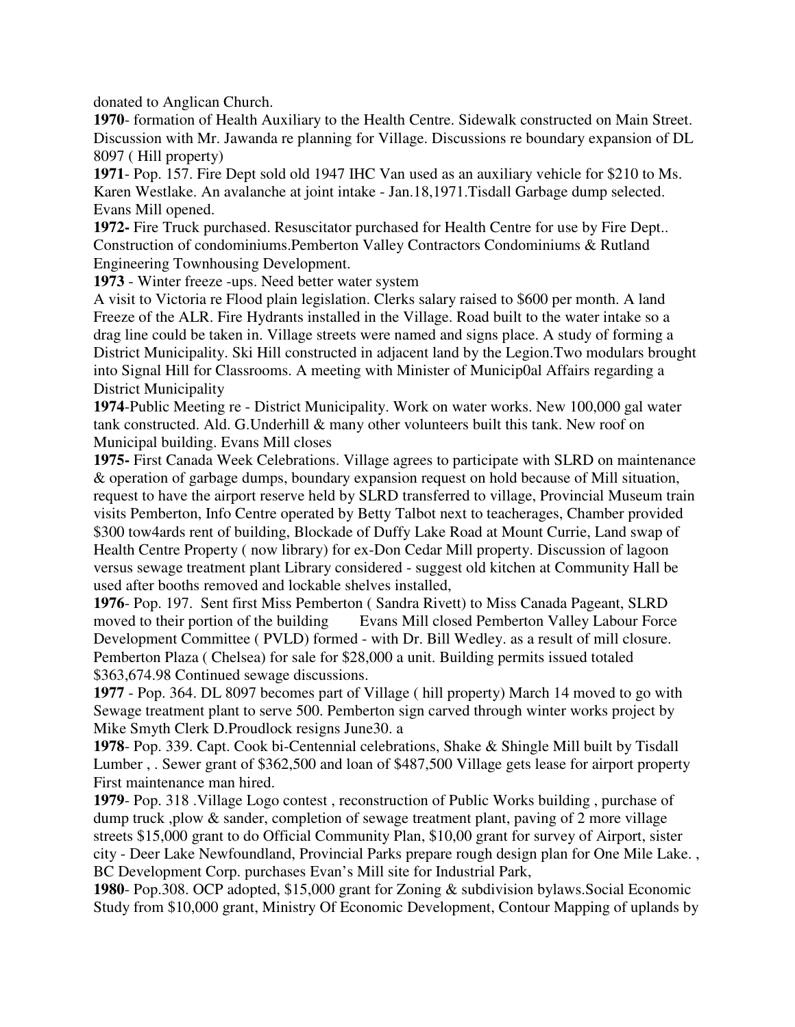donated to Anglican Church.

**1970**- formation of Health Auxiliary to the Health Centre. Sidewalk constructed on Main Street. Discussion with Mr. Jawanda re planning for Village. Discussions re boundary expansion of DL 8097 ( Hill property)

**1971**- Pop. 157. Fire Dept sold old 1947 IHC Van used as an auxiliary vehicle for \$210 to Ms. Karen Westlake. An avalanche at joint intake - Jan.18,1971.Tisdall Garbage dump selected. Evans Mill opened.

**1972-** Fire Truck purchased. Resuscitator purchased for Health Centre for use by Fire Dept.. Construction of condominiums.Pemberton Valley Contractors Condominiums & Rutland Engineering Townhousing Development.

**1973** - Winter freeze -ups. Need better water system

A visit to Victoria re Flood plain legislation. Clerks salary raised to \$600 per month. A land Freeze of the ALR. Fire Hydrants installed in the Village. Road built to the water intake so a drag line could be taken in. Village streets were named and signs place. A study of forming a District Municipality. Ski Hill constructed in adjacent land by the Legion.Two modulars brought into Signal Hill for Classrooms. A meeting with Minister of Municip0al Affairs regarding a District Municipality

**1974**-Public Meeting re - District Municipality. Work on water works. New 100,000 gal water tank constructed. Ald. G.Underhill & many other volunteers built this tank. New roof on Municipal building. Evans Mill closes

**1975-** First Canada Week Celebrations. Village agrees to participate with SLRD on maintenance & operation of garbage dumps, boundary expansion request on hold because of Mill situation, request to have the airport reserve held by SLRD transferred to village, Provincial Museum train visits Pemberton, Info Centre operated by Betty Talbot next to teacherages, Chamber provided \$300 tow4ards rent of building, Blockade of Duffy Lake Road at Mount Currie, Land swap of Health Centre Property ( now library) for ex-Don Cedar Mill property. Discussion of lagoon versus sewage treatment plant Library considered - suggest old kitchen at Community Hall be used after booths removed and lockable shelves installed,

**1976**- Pop. 197. Sent first Miss Pemberton ( Sandra Rivett) to Miss Canada Pageant, SLRD moved to their portion of the building Evans Mill closed Pemberton Valley Labour Force Development Committee ( PVLD) formed - with Dr. Bill Wedley. as a result of mill closure. Pemberton Plaza ( Chelsea) for sale for \$28,000 a unit. Building permits issued totaled \$363,674.98 Continued sewage discussions.

**1977** - Pop. 364. DL 8097 becomes part of Village ( hill property) March 14 moved to go with Sewage treatment plant to serve 500. Pemberton sign carved through winter works project by Mike Smyth Clerk D.Proudlock resigns June30. a

**1978**- Pop. 339. Capt. Cook bi-Centennial celebrations, Shake & Shingle Mill built by Tisdall Lumber , . Sewer grant of \$362,500 and loan of \$487,500 Village gets lease for airport property First maintenance man hired.

**1979**- Pop. 318 .Village Logo contest , reconstruction of Public Works building , purchase of dump truck, plow & sander, completion of sewage treatment plant, paving of 2 more village streets \$15,000 grant to do Official Community Plan, \$10,00 grant for survey of Airport, sister city - Deer Lake Newfoundland, Provincial Parks prepare rough design plan for One Mile Lake. , BC Development Corp. purchases Evan's Mill site for Industrial Park,

**1980**- Pop.308. OCP adopted, \$15,000 grant for Zoning & subdivision bylaws.Social Economic Study from \$10,000 grant, Ministry Of Economic Development, Contour Mapping of uplands by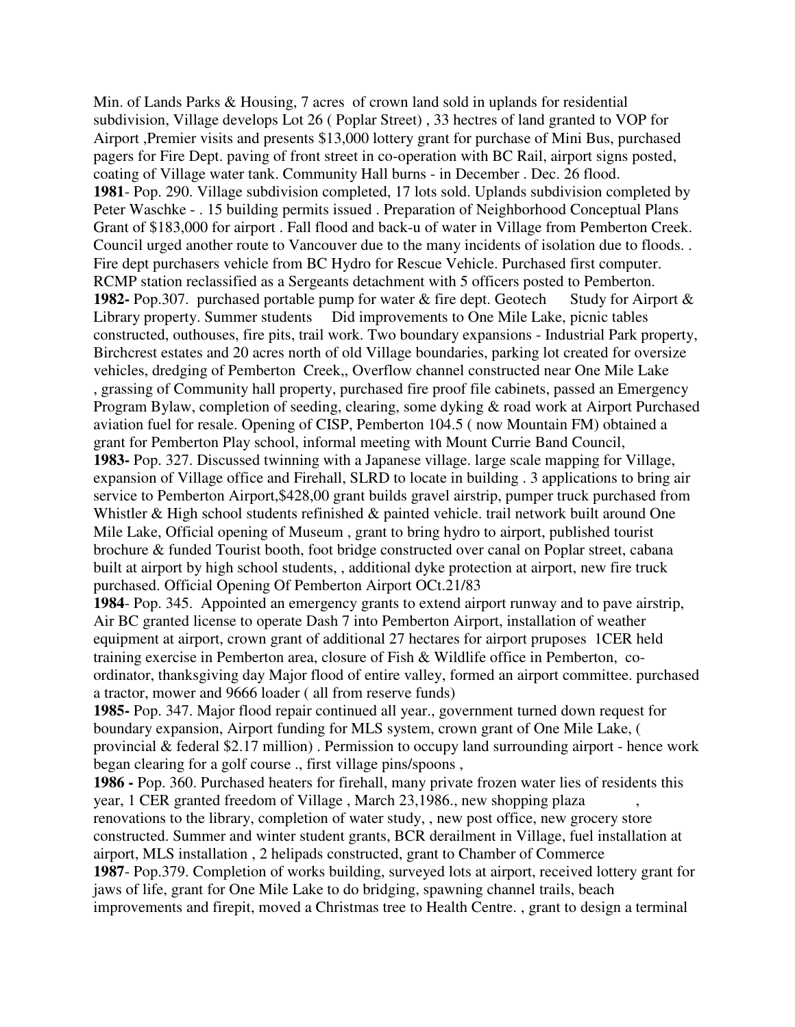Min. of Lands Parks & Housing, 7 acres of crown land sold in uplands for residential subdivision, Village develops Lot 26 ( Poplar Street) , 33 hectres of land granted to VOP for Airport ,Premier visits and presents \$13,000 lottery grant for purchase of Mini Bus, purchased pagers for Fire Dept. paving of front street in co-operation with BC Rail, airport signs posted, coating of Village water tank. Community Hall burns - in December . Dec. 26 flood. **1981**- Pop. 290. Village subdivision completed, 17 lots sold. Uplands subdivision completed by Peter Waschke - . 15 building permits issued . Preparation of Neighborhood Conceptual Plans Grant of \$183,000 for airport . Fall flood and back-u of water in Village from Pemberton Creek. Council urged another route to Vancouver due to the many incidents of isolation due to floods. . Fire dept purchasers vehicle from BC Hydro for Rescue Vehicle. Purchased first computer. RCMP station reclassified as a Sergeants detachment with 5 officers posted to Pemberton. **1982-** Pop.307. purchased portable pump for water & fire dept. Geotech Study for Airport & Library property. Summer students Did improvements to One Mile Lake, picnic tables constructed, outhouses, fire pits, trail work. Two boundary expansions - Industrial Park property, Birchcrest estates and 20 acres north of old Village boundaries, parking lot created for oversize vehicles, dredging of Pemberton Creek,, Overflow channel constructed near One Mile Lake , grassing of Community hall property, purchased fire proof file cabinets, passed an Emergency Program Bylaw, completion of seeding, clearing, some dyking & road work at Airport Purchased aviation fuel for resale. Opening of CISP, Pemberton 104.5 ( now Mountain FM) obtained a grant for Pemberton Play school, informal meeting with Mount Currie Band Council, **1983-** Pop. 327. Discussed twinning with a Japanese village. large scale mapping for Village, expansion of Village office and Firehall, SLRD to locate in building . 3 applications to bring air service to Pemberton Airport,\$428,00 grant builds gravel airstrip, pumper truck purchased from Whistler & High school students refinished & painted vehicle. trail network built around One Mile Lake, Official opening of Museum , grant to bring hydro to airport, published tourist brochure & funded Tourist booth, foot bridge constructed over canal on Poplar street, cabana built at airport by high school students, , additional dyke protection at airport, new fire truck purchased. Official Opening Of Pemberton Airport OCt.21/83

**1984**- Pop. 345. Appointed an emergency grants to extend airport runway and to pave airstrip, Air BC granted license to operate Dash 7 into Pemberton Airport, installation of weather equipment at airport, crown grant of additional 27 hectares for airport pruposes 1CER held training exercise in Pemberton area, closure of Fish & Wildlife office in Pemberton, coordinator, thanksgiving day Major flood of entire valley, formed an airport committee. purchased a tractor, mower and 9666 loader ( all from reserve funds)

**1985-** Pop. 347. Major flood repair continued all year., government turned down request for boundary expansion, Airport funding for MLS system, crown grant of One Mile Lake, ( provincial & federal \$2.17 million) . Permission to occupy land surrounding airport - hence work began clearing for a golf course ., first village pins/spoons ,

**1986 -** Pop. 360. Purchased heaters for firehall, many private frozen water lies of residents this year, 1 CER granted freedom of Village , March 23,1986., new shopping plaza , renovations to the library, completion of water study, , new post office, new grocery store constructed. Summer and winter student grants, BCR derailment in Village, fuel installation at airport, MLS installation , 2 helipads constructed, grant to Chamber of Commerce **1987**- Pop.379. Completion of works building, surveyed lots at airport, received lottery grant for jaws of life, grant for One Mile Lake to do bridging, spawning channel trails, beach improvements and firepit, moved a Christmas tree to Health Centre. , grant to design a terminal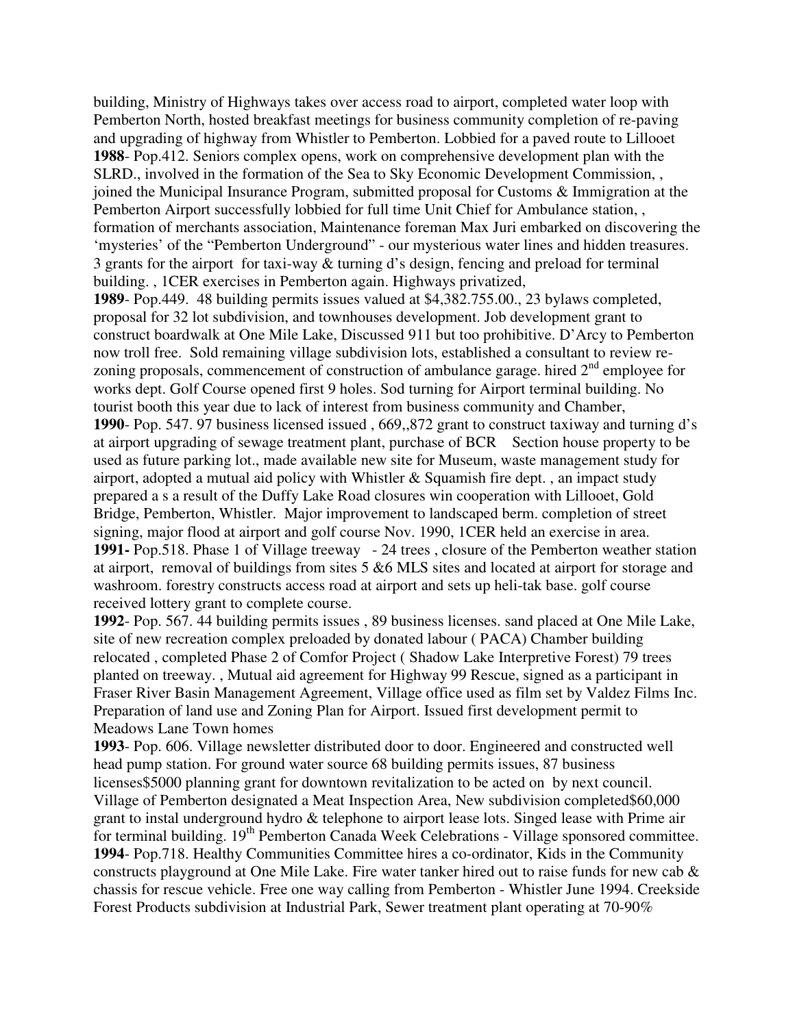building, Ministry of Highways takes over access road to airport, completed water loop with Pemberton North, hosted breakfast meetings for business community completion of re-paving and upgrading of highway from Whistler to Pemberton. Lobbied for a paved route to Lillooet **1988**- Pop.412. Seniors complex opens, work on comprehensive development plan with the SLRD., involved in the formation of the Sea to Sky Economic Development Commission, , joined the Municipal Insurance Program, submitted proposal for Customs & Immigration at the Pemberton Airport successfully lobbied for full time Unit Chief for Ambulance station, , formation of merchants association, Maintenance foreman Max Juri embarked on discovering the 'mysteries' of the "Pemberton Underground" - our mysterious water lines and hidden treasures. 3 grants for the airport for taxi-way & turning d's design, fencing and preload for terminal building. , 1CER exercises in Pemberton again. Highways privatized,

**1989**- Pop.449. 48 building permits issues valued at \$4,382.755.00., 23 bylaws completed, proposal for 32 lot subdivision, and townhouses development. Job development grant to construct boardwalk at One Mile Lake, Discussed 911 but too prohibitive. D'Arcy to Pemberton now troll free. Sold remaining village subdivision lots, established a consultant to review rezoning proposals, commencement of construction of ambulance garage. hired  $2<sup>nd</sup>$  employee for works dept. Golf Course opened first 9 holes. Sod turning for Airport terminal building. No tourist booth this year due to lack of interest from business community and Chamber, **1990**- Pop. 547. 97 business licensed issued , 669,,872 grant to construct taxiway and turning d's at airport upgrading of sewage treatment plant, purchase of BCR Section house property to be used as future parking lot., made available new site for Museum, waste management study for airport, adopted a mutual aid policy with Whistler  $& Squamish fire dept.$ , an impact study prepared a s a result of the Duffy Lake Road closures win cooperation with Lillooet, Gold Bridge, Pemberton, Whistler. Major improvement to landscaped berm. completion of street signing, major flood at airport and golf course Nov. 1990, 1CER held an exercise in area. **1991-** Pop.518. Phase 1 of Village treeway - 24 trees , closure of the Pemberton weather station at airport, removal of buildings from sites 5 &6 MLS sites and located at airport for storage and washroom. forestry constructs access road at airport and sets up heli-tak base. golf course received lottery grant to complete course.

**1992**- Pop. 567. 44 building permits issues , 89 business licenses. sand placed at One Mile Lake, site of new recreation complex preloaded by donated labour ( PACA) Chamber building relocated , completed Phase 2 of Comfor Project ( Shadow Lake Interpretive Forest) 79 trees planted on treeway. , Mutual aid agreement for Highway 99 Rescue, signed as a participant in Fraser River Basin Management Agreement, Village office used as film set by Valdez Films Inc. Preparation of land use and Zoning Plan for Airport. Issued first development permit to Meadows Lane Town homes

**1993**- Pop. 606. Village newsletter distributed door to door. Engineered and constructed well head pump station. For ground water source 68 building permits issues, 87 business licenses\$5000 planning grant for downtown revitalization to be acted on by next council. Village of Pemberton designated a Meat Inspection Area, New subdivision completed\$60,000 grant to instal underground hydro & telephone to airport lease lots. Singed lease with Prime air for terminal building. 19th Pemberton Canada Week Celebrations - Village sponsored committee. **1994**- Pop.718. Healthy Communities Committee hires a co-ordinator, Kids in the Community constructs playground at One Mile Lake. Fire water tanker hired out to raise funds for new cab  $\&$ chassis for rescue vehicle. Free one way calling from Pemberton - Whistler June 1994. Creekside Forest Products subdivision at Industrial Park, Sewer treatment plant operating at 70-90%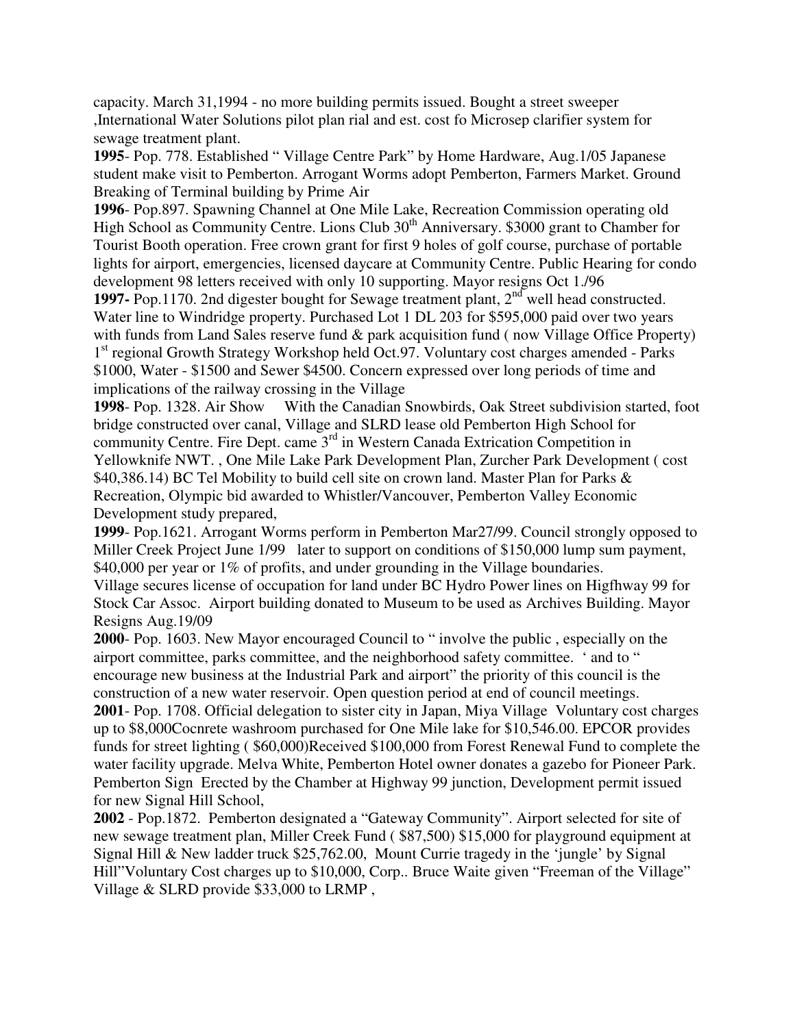capacity. March 31,1994 - no more building permits issued. Bought a street sweeper ,International Water Solutions pilot plan rial and est. cost fo Microsep clarifier system for sewage treatment plant.

**1995**- Pop. 778. Established " Village Centre Park" by Home Hardware, Aug.1/05 Japanese student make visit to Pemberton. Arrogant Worms adopt Pemberton, Farmers Market. Ground Breaking of Terminal building by Prime Air

**1996**- Pop.897. Spawning Channel at One Mile Lake, Recreation Commission operating old High School as Community Centre. Lions Club 30<sup>th</sup> Anniversary. \$3000 grant to Chamber for Tourist Booth operation. Free crown grant for first 9 holes of golf course, purchase of portable lights for airport, emergencies, licensed daycare at Community Centre. Public Hearing for condo development 98 letters received with only 10 supporting. Mayor resigns Oct 1./96

**1997-** Pop.1170. 2nd digester bought for Sewage treatment plant, 2<sup>nd</sup> well head constructed. Water line to Windridge property. Purchased Lot 1 DL 203 for \$595,000 paid over two years with funds from Land Sales reserve fund  $\&$  park acquisition fund (now Village Office Property) 1<sup>st</sup> regional Growth Strategy Workshop held Oct.97. Voluntary cost charges amended - Parks \$1000, Water - \$1500 and Sewer \$4500. Concern expressed over long periods of time and implications of the railway crossing in the Village

**1998**- Pop. 1328. Air Show With the Canadian Snowbirds, Oak Street subdivision started, foot bridge constructed over canal, Village and SLRD lease old Pemberton High School for community Centre. Fire Dept. came 3rd in Western Canada Extrication Competition in Yellowknife NWT. , One Mile Lake Park Development Plan, Zurcher Park Development ( cost \$40,386.14) BC Tel Mobility to build cell site on crown land. Master Plan for Parks & Recreation, Olympic bid awarded to Whistler/Vancouver, Pemberton Valley Economic Development study prepared,

**1999**- Pop.1621. Arrogant Worms perform in Pemberton Mar27/99. Council strongly opposed to Miller Creek Project June 1/99 later to support on conditions of \$150,000 lump sum payment, \$40,000 per year or 1% of profits, and under grounding in the Village boundaries.

Village secures license of occupation for land under BC Hydro Power lines on Higfhway 99 for Stock Car Assoc. Airport building donated to Museum to be used as Archives Building. Mayor Resigns Aug.19/09

**2000**- Pop. 1603. New Mayor encouraged Council to " involve the public , especially on the airport committee, parks committee, and the neighborhood safety committee. ' and to " encourage new business at the Industrial Park and airport" the priority of this council is the construction of a new water reservoir. Open question period at end of council meetings.

**2001**- Pop. 1708. Official delegation to sister city in Japan, Miya Village Voluntary cost charges up to \$8,000Cocnrete washroom purchased for One Mile lake for \$10,546.00. EPCOR provides funds for street lighting ( \$60,000)Received \$100,000 from Forest Renewal Fund to complete the water facility upgrade. Melva White, Pemberton Hotel owner donates a gazebo for Pioneer Park. Pemberton Sign Erected by the Chamber at Highway 99 junction, Development permit issued for new Signal Hill School,

**2002** - Pop.1872. Pemberton designated a "Gateway Community". Airport selected for site of new sewage treatment plan, Miller Creek Fund ( \$87,500) \$15,000 for playground equipment at Signal Hill & New ladder truck \$25,762.00, Mount Currie tragedy in the 'jungle' by Signal Hill"Voluntary Cost charges up to \$10,000, Corp.. Bruce Waite given "Freeman of the Village" Village & SLRD provide \$33,000 to LRMP ,